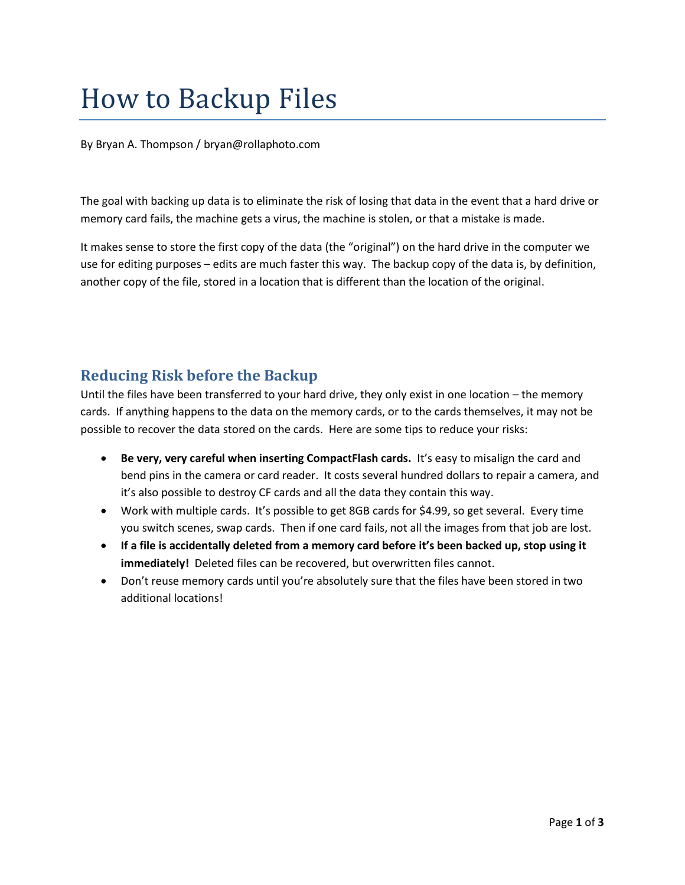# How to Backup Files

By Bryan A. Thompson / [bryan@rollaphoto.com](mailto:bryan@rollaphoto.com)

The goal with backing up data is to eliminate the risk of losing that data in the event that a hard drive or memory card fails, the machine gets a virus, the machine is stolen, or that a mistake is made.

It makes sense to store the first copy of the data (the "original") on the hard drive in the computer we use for editing purposes – edits are much faster this way. The backup copy of the data is, by definition, another copy of the file, stored in a location that is different than the location of the original.

# **Reducing Risk before the Backup**

Until the files have been transferred to your hard drive, they only exist in one location – the memory cards. If anything happens to the data on the memory cards, or to the cards themselves, it may not be possible to recover the data stored on the cards. Here are some tips to reduce your risks:

- **Be very, very careful when inserting CompactFlash cards.** It's easy to misalign the card and bend pins in the camera or card reader. It costs several hundred dollars to repair a camera, and it's also possible to destroy CF cards and all the data they contain this way.
- Work with multiple cards. It's possible to get 8GB cards for \$4.99, so get several. Every time you switch scenes, swap cards. Then if one card fails, not all the images from that job are lost.
- **If a file is accidentally deleted from a memory card before it's been backed up, stop using it immediately!** Deleted files can be recovered, but overwritten files cannot.
- Don't reuse memory cards until you're absolutely sure that the files have been stored in two additional locations!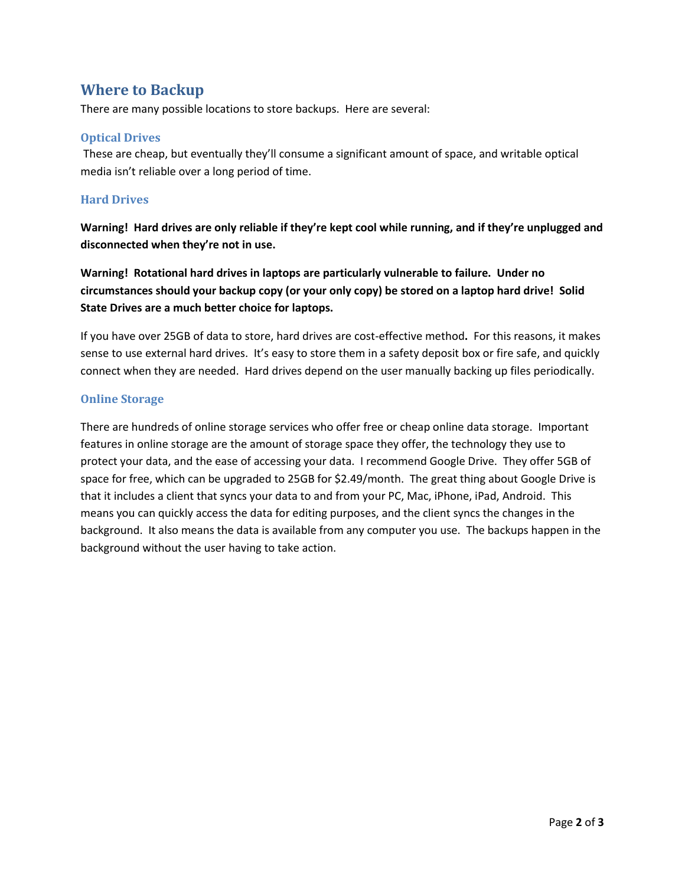### **Where to Backup**

There are many possible locations to store backups. Here are several:

#### **Optical Drives**

These are cheap, but eventually they'll consume a significant amount of space, and writable optical media isn't reliable over a long period of time.

#### **Hard Drives**

**Warning! Hard drives are only reliable if they're kept cool while running, and if they're unplugged and disconnected when they're not in use.**

**Warning! Rotational hard drives in laptops are particularly vulnerable to failure. Under no circumstances should your backup copy (or your only copy) be stored on a laptop hard drive! Solid State Drives are a much better choice for laptops.**

If you have over 25GB of data to store, hard drives are cost-effective method**.** For this reasons, it makes sense to use external hard drives. It's easy to store them in a safety deposit box or fire safe, and quickly connect when they are needed. Hard drives depend on the user manually backing up files periodically.

#### **Online Storage**

There are hundreds of online storage services who offer free or cheap online data storage. Important features in online storage are the amount of storage space they offer, the technology they use to protect your data, and the ease of accessing your data. I recommend Google Drive. They offer 5GB of space for free, which can be upgraded to 25GB for \$2.49/month. The great thing about Google Drive is that it includes a client that syncs your data to and from your PC, Mac, iPhone, iPad, Android. This means you can quickly access the data for editing purposes, and the client syncs the changes in the background. It also means the data is available from any computer you use. The backups happen in the background without the user having to take action.